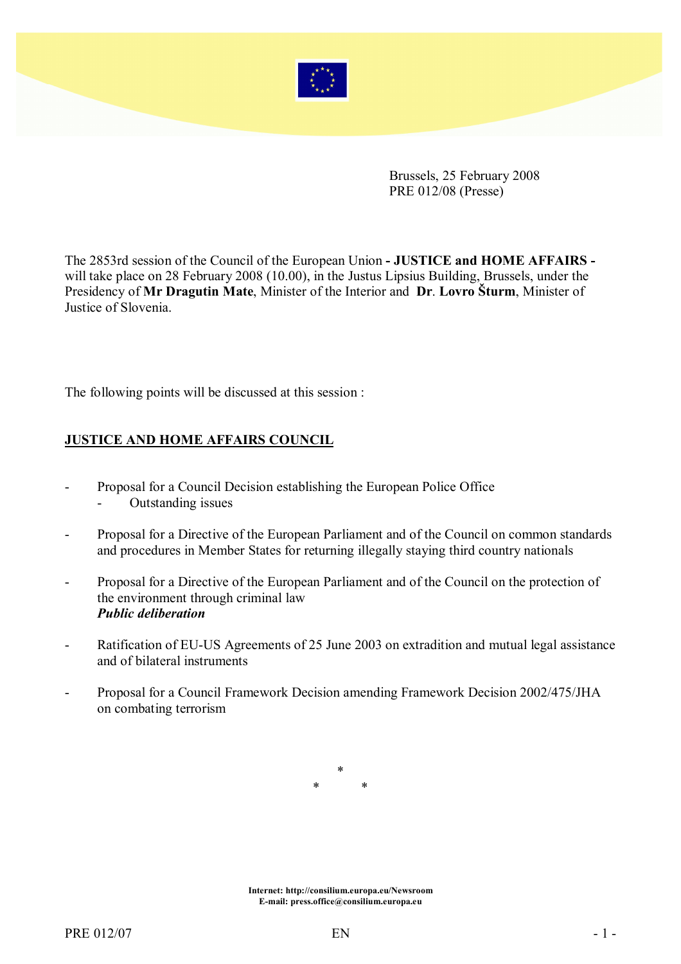

Brussels, 25 February 2008 PRE 012/08 (Presse)

The 2853rd session of the Council of the European Union - JUSTICE and HOME AFFAIRS will take place on 28 February 2008 (10.00), in the Justus Lipsius Building, Brussels, under the Presidency of Mr Dragutin Mate, Minister of the Interior and Dr. Lovro Šturm, Minister of Justice of Slovenia.

The following points will be discussed at this session :

## JUSTICE AND HOME AFFAIRS COUNCIL

- Proposal for a Council Decision establishing the European Police Office
	- Outstanding issues
- Proposal for a Directive of the European Parliament and of the Council on common standards and procedures in Member States for returning illegally staying third country nationals
- Proposal for a Directive of the European Parliament and of the Council on the protection of the environment through criminal law Public deliberation
- Ratification of EU-US Agreements of 25 June 2003 on extradition and mutual legal assistance and of bilateral instruments
- Proposal for a Council Framework Decision amending Framework Decision 2002/475/JHA on combating terrorism

\* \* \*

Internet: http://consilium.europa.eu/Newsroom E-mail: press.office@consilium.europa.eu